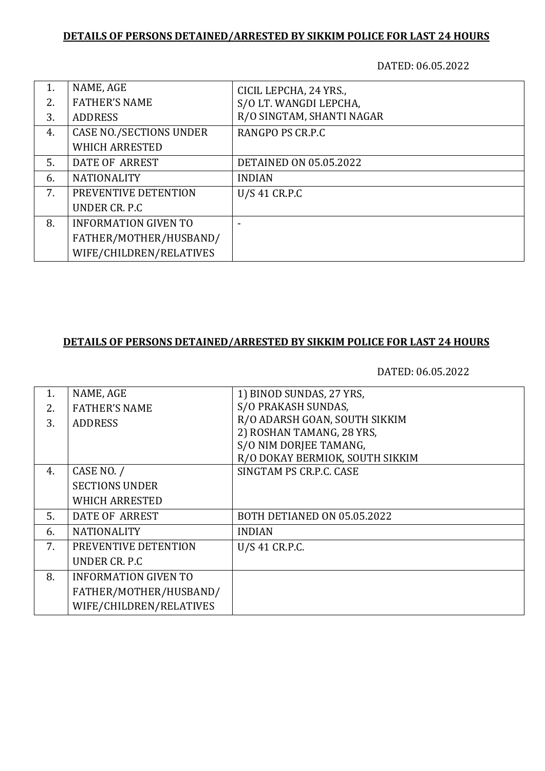#### **DETAILS OF PERSONS DETAINED/ARRESTED BY SIKKIM POLICE FOR LAST 24 HOURS**

DATED: 06.05.2022

| 1. | NAME, AGE                      | CICIL LEPCHA, 24 YRS.,        |
|----|--------------------------------|-------------------------------|
| 2. | <b>FATHER'S NAME</b>           | S/O LT. WANGDI LEPCHA,        |
| 3. | <b>ADDRESS</b>                 | R/O SINGTAM, SHANTI NAGAR     |
| 4. | <b>CASE NO./SECTIONS UNDER</b> | RANGPO PS CR.P.C              |
|    | <b>WHICH ARRESTED</b>          |                               |
| 5. | DATE OF ARREST                 | <b>DETAINED ON 05.05.2022</b> |
| 6. | <b>NATIONALITY</b>             | <b>INDIAN</b>                 |
| 7. | PREVENTIVE DETENTION           | U/S 41 CR.P.C                 |
|    | UNDER CR. P.C                  |                               |
| 8. | <b>INFORMATION GIVEN TO</b>    |                               |
|    | FATHER/MOTHER/HUSBAND/         |                               |
|    | WIFE/CHILDREN/RELATIVES        |                               |

#### **DETAILS OF PERSONS DETAINED/ARRESTED BY SIKKIM POLICE FOR LAST 24 HOURS**

DATED: 06.05.2022

| 1. | NAME, AGE                   | 1) BINOD SUNDAS, 27 YRS,        |
|----|-----------------------------|---------------------------------|
| 2. | <b>FATHER'S NAME</b>        | S/O PRAKASH SUNDAS,             |
| 3. | <b>ADDRESS</b>              | R/O ADARSH GOAN, SOUTH SIKKIM   |
|    |                             | 2) ROSHAN TAMANG, 28 YRS,       |
|    |                             | S/O NIM DORJEE TAMANG,          |
|    |                             | R/O DOKAY BERMIOK, SOUTH SIKKIM |
| 4. | CASE NO. /                  | SINGTAM PS CR.P.C. CASE         |
|    | <b>SECTIONS UNDER</b>       |                                 |
|    | <b>WHICH ARRESTED</b>       |                                 |
| 5. | DATE OF ARREST              | BOTH DETIANED ON 05.05.2022     |
| 6. | <b>NATIONALITY</b>          | <b>INDIAN</b>                   |
| 7. | PREVENTIVE DETENTION        | U/S 41 CR.P.C.                  |
|    | UNDER CR. P.C.              |                                 |
| 8. | <b>INFORMATION GIVEN TO</b> |                                 |
|    | FATHER/MOTHER/HUSBAND/      |                                 |
|    | WIFE/CHILDREN/RELATIVES     |                                 |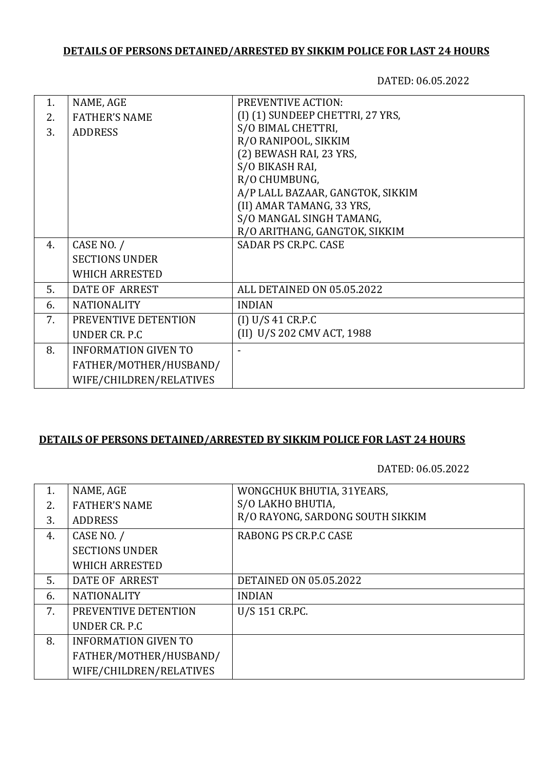# **DETAILS OF PERSONS DETAINED/ARRESTED BY SIKKIM POLICE FOR LAST 24 HOURS**

DATED: 06.05.2022

| 1. | NAME, AGE                   | <b>PREVENTIVE ACTION:</b>        |
|----|-----------------------------|----------------------------------|
| 2. | <b>FATHER'S NAME</b>        | (I) (1) SUNDEEP CHETTRI, 27 YRS, |
| 3. | <b>ADDRESS</b>              | S/O BIMAL CHETTRI,               |
|    |                             | R/O RANIPOOL, SIKKIM             |
|    |                             | (2) BEWASH RAI, 23 YRS,          |
|    |                             | S/O BIKASH RAI,                  |
|    |                             | R/O CHUMBUNG,                    |
|    |                             | A/P LALL BAZAAR, GANGTOK, SIKKIM |
|    |                             | (II) AMAR TAMANG, 33 YRS,        |
|    |                             | S/O MANGAL SINGH TAMANG,         |
|    |                             | R/O ARITHANG, GANGTOK, SIKKIM    |
| 4. | CASE NO. /                  | <b>SADAR PS CR.PC. CASE</b>      |
|    | <b>SECTIONS UNDER</b>       |                                  |
|    | <b>WHICH ARRESTED</b>       |                                  |
| 5. | DATE OF ARREST              | ALL DETAINED ON 05.05.2022       |
| 6. | <b>NATIONALITY</b>          | <b>INDIAN</b>                    |
| 7. | PREVENTIVE DETENTION        | (I) U/S 41 CR.P.C                |
|    | UNDER CR. P.C.              | (II) U/S 202 CMV ACT, 1988       |
| 8. | <b>INFORMATION GIVEN TO</b> |                                  |
|    | FATHER/MOTHER/HUSBAND/      |                                  |
|    | WIFE/CHILDREN/RELATIVES     |                                  |

### **DETAILS OF PERSONS DETAINED/ARRESTED BY SIKKIM POLICE FOR LAST 24 HOURS**

DATED: 06.05.2022

| 1. | NAME, AGE                   | WONGCHUK BHUTIA, 31YEARS,        |
|----|-----------------------------|----------------------------------|
| 2. | <b>FATHER'S NAME</b>        | S/O LAKHO BHUTIA,                |
| 3. | <b>ADDRESS</b>              | R/O RAYONG, SARDONG SOUTH SIKKIM |
| 4. | CASE NO. /                  | RABONG PS CR.P.C CASE            |
|    | <b>SECTIONS UNDER</b>       |                                  |
|    | <b>WHICH ARRESTED</b>       |                                  |
| 5. | DATE OF ARREST              | <b>DETAINED ON 05.05.2022</b>    |
| 6. | <b>NATIONALITY</b>          | <b>INDIAN</b>                    |
| 7. | PREVENTIVE DETENTION        | U/S 151 CR.PC.                   |
|    | UNDER CR. P.C               |                                  |
| 8. | <b>INFORMATION GIVEN TO</b> |                                  |
|    | FATHER/MOTHER/HUSBAND/      |                                  |
|    | WIFE/CHILDREN/RELATIVES     |                                  |